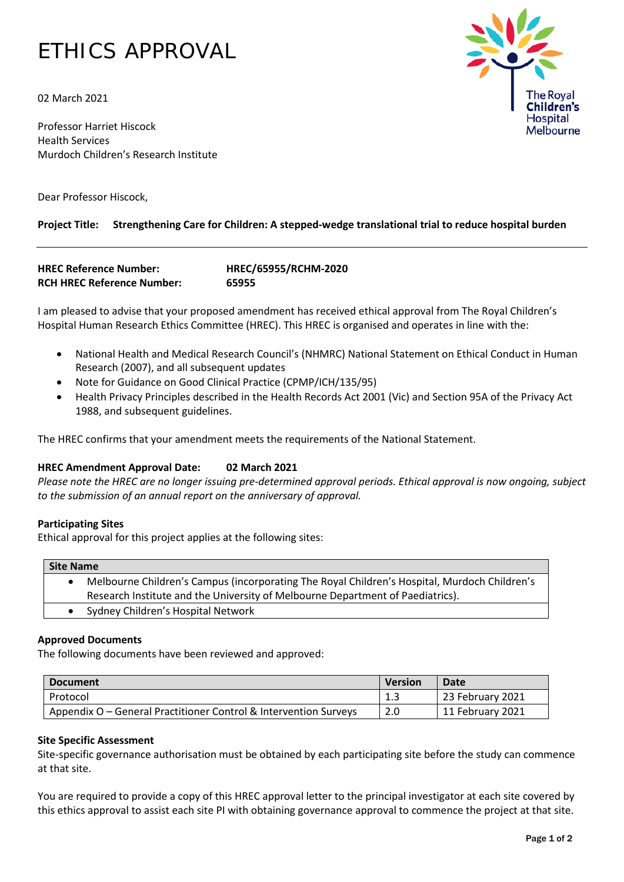# ETHICS APPROVAL

02 March 2021

Professor Harriet Hiscock Health Services Murdoch Children's Research Institute

Dear Professor Hiscock,

# **Project Title: Strengthening Care for Children: A stepped-wedge translational trial to reduce hospital burden**

```
HREC Reference Number: HREC/65955/RCHM-2020
RCH HREC Reference Number: 65955
```
I am pleased to advise that your proposed amendment has received ethical approval from The Royal Children's Hospital Human Research Ethics Committee (HREC). This HREC is organised and operates in line with the:

- National Health and Medical Research Council's (NHMRC) National Statement on Ethical Conduct in Human Research (2007), and all subsequent updates
- Note for Guidance on Good Clinical Practice (CPMP/ICH/135/95)
- Health Privacy Principles described in the Health Records Act 2001 (Vic) and Section 95A of the Privacy Act 1988, and subsequent guidelines.

The HREC confirms that your amendment meets the requirements of the National Statement.

## **HREC Amendment Approval Date: 02 March 2021**

*Please note the HREC are no longer issuing pre-determined approval periods. Ethical approval is now ongoing, subject to the submission of an annual report on the anniversary of approval.* 

#### **Participating Sites**

Ethical approval for this project applies at the following sites:

| <b>Site Name</b> |                                                                                              |  |  |
|------------------|----------------------------------------------------------------------------------------------|--|--|
|                  | Melbourne Children's Campus (incorporating The Royal Children's Hospital, Murdoch Children's |  |  |
|                  | Research Institute and the University of Melbourne Department of Paediatrics).               |  |  |
|                  | Sydney Children's Hospital Network                                                           |  |  |

#### **Approved Documents**

The following documents have been reviewed and approved:

| <b>Document</b>                                                  |     | Date             |
|------------------------------------------------------------------|-----|------------------|
| Protocol                                                         | 1.3 | 23 February 2021 |
| Appendix O – General Practitioner Control & Intervention Surveys | 2.0 | 11 February 2021 |

## **Site Specific Assessment**

Site-specific governance authorisation must be obtained by each participating site before the study can commence at that site.

You are required to provide a copy of this HREC approval letter to the principal investigator at each site covered by this ethics approval to assist each site PI with obtaining governance approval to commence the project at that site.